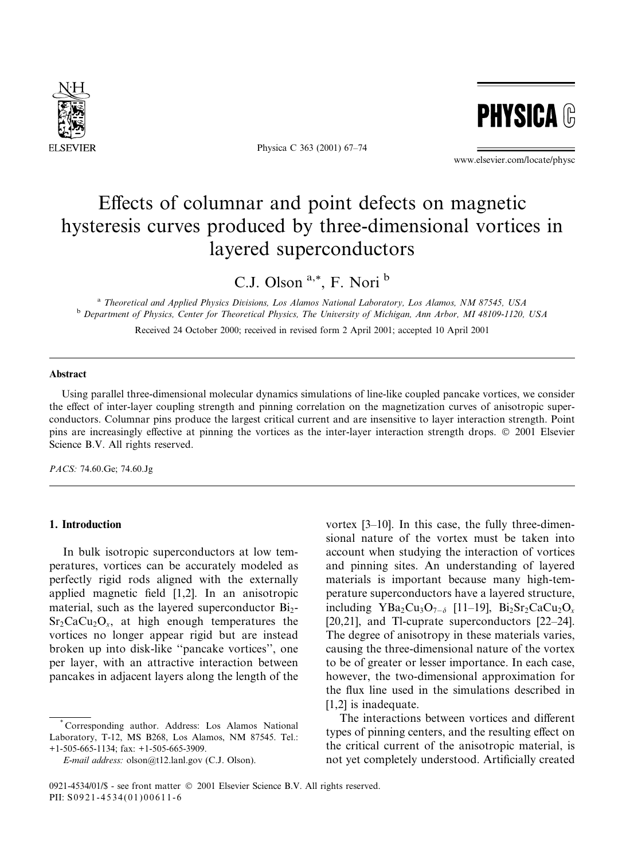

Physica C 363 (2001) 67-74



www.elsevier.com/locate/physc

# Effects of columnar and point defects on magnetic hysteresis curves produced by three-dimensional vortices in layered superconductors

C.J. Olson<sup>a,\*</sup>, F. Nori<sup>b</sup>

<sup>a</sup> Theoretical and Applied Physics Divisions, Los Alamos National Laboratory, Los Alamos, NM 87545, USA <sup>b</sup> Department of Physics, Center for Theoretical Physics, The University of Michigan, Ann Arbor, MI 48109-1120, USA

Received 24 October 2000; received in revised form 2 April 2001; accepted 10 April 2001

## Abstract

Using parallel three-dimensional molecular dynamics simulations of line-like coupled pancake vortices, we consider the effect of inter-layer coupling strength and pinning correlation on the magnetization curves of anisotropic superconductors. Columnar pins produce the largest critical current and are insensitive to layer interaction strength. Point pins are increasingly effective at pinning the vortices as the inter-layer interaction strength drops. © 2001 Elsevier Science B.V. All rights reserved.

PACS: 74.60.Ge; 74.60.Jg

## 1. Introduction

In bulk isotropic superconductors at low temperatures, vortices can be accurately modeled as perfectly rigid rods aligned with the externally applied magnetic field  $[1,2]$ . In an anisotropic material, such as the layered superconductor Bi<sub>2</sub>- $Sr_2CaCu_2O_x$ , at high enough temperatures the vortices no longer appear rigid but are instead broken up into disk-like "pancake vortices", one per layer, with an attractive interaction between pancakes in adjacent layers along the length of the

vortex  $[3-10]$ . In this case, the fully three-dimensional nature of the vortex must be taken into account when studying the interaction of vortices and pinning sites. An understanding of layered materials is important because many high-temperature superconductors have a layered structure, including  $YBa_2Cu_3O_{7-\delta}$  [11-19],  $Bi_2Sr_2CaCu_2O_x$ [20,21], and Tl-cuprate superconductors  $[22-24]$ . The degree of anisotropy in these materials varies, causing the three-dimensional nature of the vortex to be of greater or lesser importance. In each case, however, the two-dimensional approximation for the flux line used in the simulations described in [1.2] is inadequate.

The interactions between vortices and different types of pinning centers, and the resulting effect on the critical current of the anisotropic material, is not yet completely understood. Artificially created

Corresponding author. Address: Los Alamos National Laboratory, T-12, MS B268, Los Alamos, NM 87545. Tel.:  $+1-505-665-1134$ ; fax:  $+1-505-665-3909$ .

E-mail address: olson@t12.lanl.gov (C.J. Olson).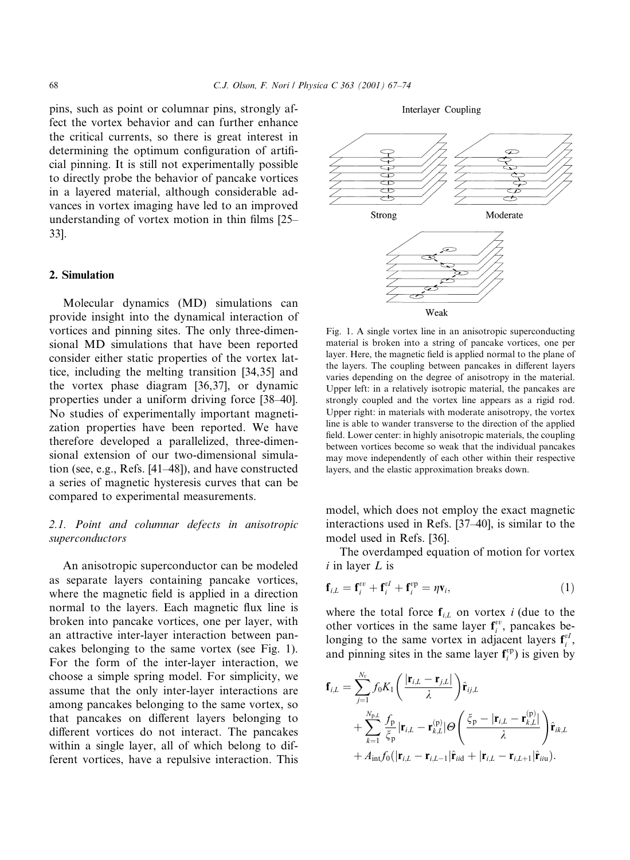pins, such as point or columnar pins, strongly affect the vortex behavior and can further enhance the critical currents, so there is great interest in determining the optimum configuration of artificial pinning. It is still not experimentally possible to directly probe the behavior of pancake vortices in a layered material, although considerable advances in vortex imaging have led to an improved understanding of vortex motion in thin films [25-33].

## 2. Simulation

Molecular dynamics (MD) simulations can provide insight into the dynamical interaction of vortices and pinning sites. The only three-dimensional MD simulations that have been reported consider either static properties of the vortex lattice, including the melting transition [34,35] and the vortex phase diagram [36,37], or dynamic properties under a uniform driving force [38–40]. No studies of experimentally important magnetization properties have been reported. We have therefore developed a parallelized, three-dimensional extension of our two-dimensional simulation (see, e.g., Refs. [41–48]), and have constructed a series of magnetic hysteresis curves that can be compared to experimental measurements.

# 2.1. Point and columnar defects in anisotropic superconductors

An anisotropic superconductor can be modeled as separate layers containing pancake vortices, where the magnetic field is applied in a direction normal to the layers. Each magnetic flux line is broken into pancake vortices, one per layer, with an attractive inter-layer interaction between pancakes belonging to the same vortex (see Fig. 1). For the form of the inter-layer interaction, we choose a simple spring model. For simplicity, we assume that the only inter-layer interactions are among pancakes belonging to the same vortex, so that pancakes on different layers belonging to different vortices do not interact. The pancakes within a single layer, all of which belong to different vortices, have a repulsive interaction. This

Interlayer Coupling



Fig. 1. A single vortex line in an anisotropic superconducting material is broken into a string of pancake vortices, one per layer. Here, the magnetic field is applied normal to the plane of the layers. The coupling between pancakes in different layers varies depending on the degree of anisotropy in the material. Upper left: in a relatively isotropic material, the pancakes are strongly coupled and the vortex line appears as a rigid rod. Upper right: in materials with moderate anisotropy, the vortex line is able to wander transverse to the direction of the applied field. Lower center: in highly anisotropic materials, the coupling between vortices become so weak that the individual pancakes may move independently of each other within their respective layers, and the elastic approximation breaks down.

model, which does not employ the exact magnetic interactions used in Refs. [37–40], is similar to the model used in Refs. [36].

The overdamped equation of motion for vortex  $i$  in layer  $L$  is

$$
\mathbf{f}_{i,L} = \mathbf{f}_i^{vv} + \mathbf{f}_i^{vI} + \mathbf{f}_i^{vp} = \eta \mathbf{v}_i,\tag{1}
$$

where the total force  $f_{i,L}$  on vortex i (due to the other vortices in the same layer  $f_i^{vv}$ , pancakes belonging to the same vortex in adjacent layers  $f_i^{vl}$ , and pinning sites in the same layer  $f_i^{vp}$ ) is given by

$$
\mathbf{f}_{i,L} = \sum_{j=1}^{N_{\rm p}} f_0 K_1 \left( \frac{|\mathbf{r}_{i,L} - \mathbf{r}_{j,L}|}{\lambda} \right) \hat{\mathbf{r}}_{ij,L}
$$
  
+ 
$$
\sum_{k=1}^{N_{\rm p,L}} \frac{f_{\rm p}}{\xi_{\rm p}} |\mathbf{r}_{i,L} - \mathbf{r}_{k,L}^{(\rm p)}| \Theta \left( \frac{\xi_{\rm p} - |\mathbf{r}_{i,L} - \mathbf{r}_{k,L}^{(\rm p)}|}{\lambda} \right) \hat{\mathbf{r}}_{ik,L}
$$
  
+ 
$$
A_{\rm int} f_0 (|\mathbf{r}_{i,L} - \mathbf{r}_{i,L-1}| \hat{\mathbf{r}}_{iid} + |\mathbf{r}_{i,L} - \mathbf{r}_{i,L+1}| \hat{\mathbf{r}}_{itu}).
$$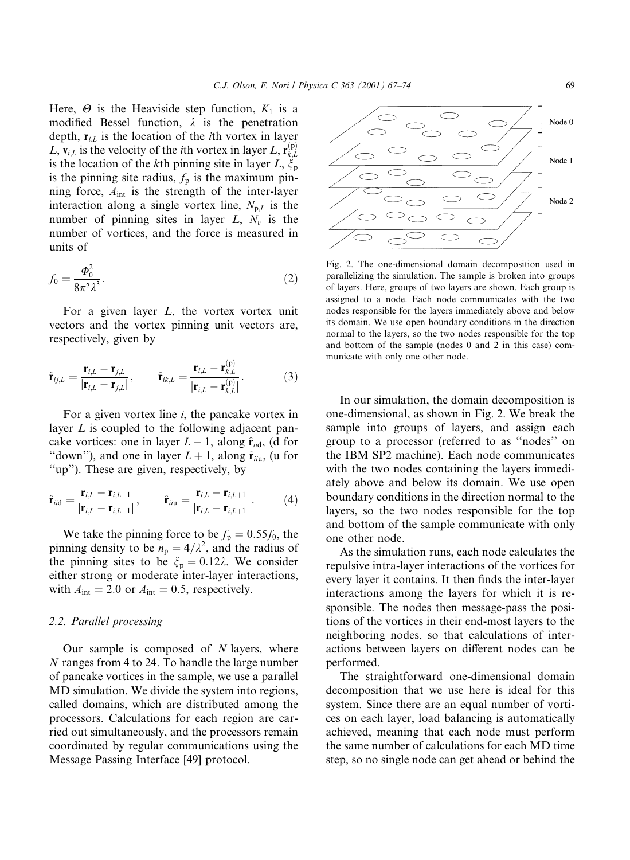Here,  $\Theta$  is the Heaviside step function,  $K_1$  is a modified Bessel function,  $\lambda$  is the penetration depth,  $\mathbf{r}_{i,l}$  is the location of the *i*th vortex in layer L,  $\mathbf{v}_{i,L}$  is the velocity of the *i*th vortex in layer L,  $\mathbf{r}_{i}^{(p)}$ is the location of the kth pinning site in layer L,  $\xi_p$ is the pinning site radius,  $f_p$  is the maximum pinning force,  $A_{int}$  is the strength of the inter-layer interaction along a single vortex line,  $N_{p,L}$  is the number of pinning sites in layer  $L$ ,  $N_v$  is the number of vortices, and the force is measured in units of

$$
f_0 = \frac{\Phi_0^2}{8\pi^2 \lambda^3}.\tag{2}
$$

For a given layer  $L$ , the vortex-vortex unit vectors and the vortex-pinning unit vectors are, respectively, given by

$$
\hat{\mathbf{r}}_{ij,L} = \frac{\mathbf{r}_{i,L} - \mathbf{r}_{j,L}}{|\mathbf{r}_{i,L} - \mathbf{r}_{j,L}|}, \qquad \hat{\mathbf{r}}_{ik,L} = \frac{\mathbf{r}_{i,L} - \mathbf{r}_{k,L}^{(p)}}{|\mathbf{r}_{i,L} - \mathbf{r}_{k,L}|}.
$$
 (3)

For a given vortex line  $i$ , the pancake vortex in layer  $L$  is coupled to the following adjacent pancake vortices: one in layer  $L-1$ , along  $\hat{\mathbf{r}}_{\text{iid}}$ , (d for "down"), and one in layer  $L + 1$ , along  $\hat{\mathbf{r}}_{iiu}$ , (u for "up"). These are given, respectively, by

$$
\hat{\mathbf{r}}_{ii\text{d}} = \frac{\mathbf{r}_{i,L} - \mathbf{r}_{i,L-1}}{|\mathbf{r}_{i,L} - \mathbf{r}_{i,L-1}|}, \qquad \hat{\mathbf{r}}_{ii\text{u}} = \frac{\mathbf{r}_{i,L} - \mathbf{r}_{i,L+1}}{|\mathbf{r}_{i,L} - \mathbf{r}_{i,L+1}|}.
$$
(4)

We take the pinning force to be  $f_p = 0.55f_0$ , the pinning density to be  $n_p = 4/\lambda^2$ , and the radius of the pinning sites to be  $\xi_p = 0.12\lambda$ . We consider either strong or moderate inter-layer interactions, with  $A_{\text{int}} = 2.0$  or  $A_{\text{int}} = 0.5$ , respectively.

#### 2.2. Parallel processing

Our sample is composed of  $N$  layers, where N ranges from 4 to 24. To handle the large number of pancake vortices in the sample, we use a parallel MD simulation. We divide the system into regions, called domains, which are distributed among the processors. Calculations for each region are carried out simultaneously, and the processors remain coordinated by regular communications using the Message Passing Interface [49] protocol.



and bottom of the sample (nodes 0 and 2 in this case) com-

municate with only one other node.

In our simulation, the domain decomposition is one-dimensional, as shown in Fig. 2. We break the sample into groups of layers, and assign each group to a processor (referred to as "nodes" on the IBM SP2 machine). Each node communicates with the two nodes containing the layers immediately above and below its domain. We use open boundary conditions in the direction normal to the layers, so the two nodes responsible for the top and bottom of the sample communicate with only one other node.

As the simulation runs, each node calculates the repulsive intra-layer interactions of the vortices for every layer it contains. It then finds the inter-layer interactions among the layers for which it is responsible. The nodes then message-pass the positions of the vortices in their end-most layers to the neighboring nodes, so that calculations of interactions between layers on different nodes can be performed.

The straightforward one-dimensional domain decomposition that we use here is ideal for this system. Since there are an equal number of vortices on each layer, load balancing is automatically achieved, meaning that each node must perform the same number of calculations for each MD time step, so no single node can get ahead or behind the

Node 0

Node 1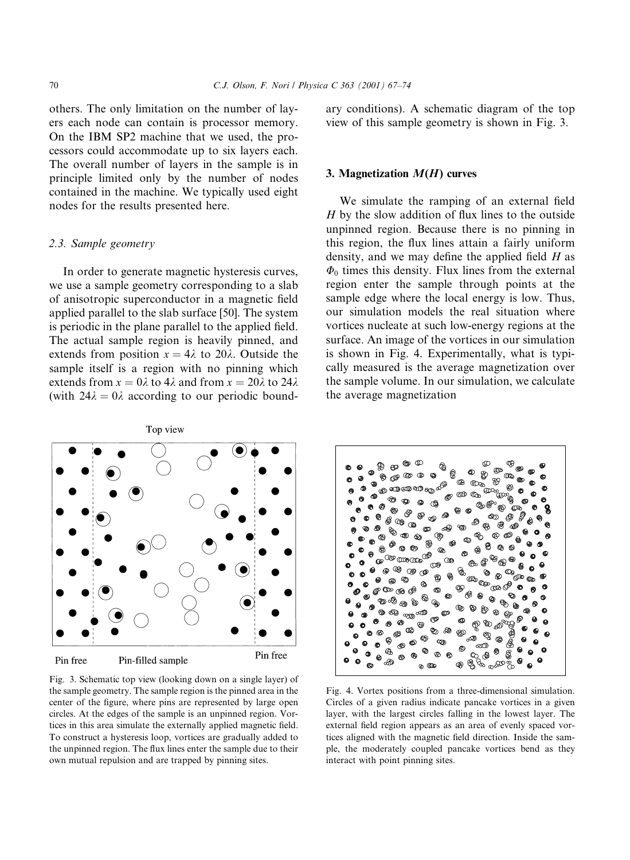others. The only limitation on the number of layers each node can contain is processor memory. On the IBM SP2 machine that we used, the processors could accommodate up to six layers each. The overall number of layers in the sample is in principle limited only by the number of nodes contained in the machine. We typically used eight nodes for the results presented here.

## 2.3. Sample geometry

In order to generate magnetic hysteresis curves, we use a sample geometry corresponding to a slab of anisotropic superconductor in a magnetic field applied parallel to the slab surface [50]. The system is periodic in the plane parallel to the applied field. The actual sample region is heavily pinned, and extends from position  $x = 4\lambda$  to 20 $\lambda$ . Outside the sample itself is a region with no pinning which extends from  $x = 0\lambda$  to 4 $\lambda$  and from  $x = 20\lambda$  to 24 $\lambda$ (with  $24\lambda = 0\lambda$  according to our periodic boundary conditions). A schematic diagram of the top view of this sample geometry is shown in Fig. 3.

#### 3. Magnetization  $M(H)$  curves

We simulate the ramping of an external field  $H$  by the slow addition of flux lines to the outside unpinned region. Because there is no pinning in this region, the flux lines attain a fairly uniform density, and we may define the applied field  $H$  as  $\Phi_0$  times this density. Flux lines from the external region enter the sample through points at the sample edge where the local energy is low. Thus, our simulation models the real situation where vortices nucleate at such low-energy regions at the surface. An image of the vortices in our simulation is shown in Fig. 4. Experimentally, what is typically measured is the average magnetization over the sample volume. In our simulation, we calculate the average magnetization



Fig. 3. Schematic top view (looking down on a single layer) of the sample geometry. The sample region is the pinned area in the center of the figure, where pins are represented by large open circles. At the edges of the sample is an unpinned region. Vortices in this area simulate the externally applied magnetic field. To construct a hysteresis loop, vortices are gradually added to the unpinned region. The flux lines enter the sample due to their own mutual repulsion and are trapped by pinning sites.



Fig. 4. Vortex positions from a three-dimensional simulation. Circles of a given radius indicate pancake vortices in a given layer, with the largest circles falling in the lowest layer. The external field region appears as an area of evenly spaced vortices aligned with the magnetic field direction. Inside the sample, the moderately coupled pancake vortices bend as they interact with point pinning sites.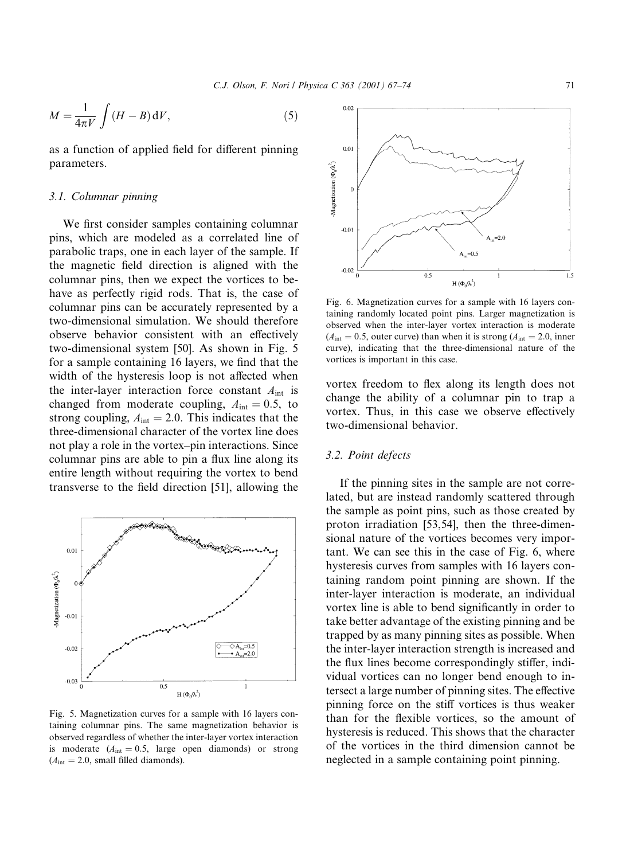$$
M = \frac{1}{4\pi V} \int (H - B) \, \mathrm{d}V,\tag{5}
$$

as a function of applied field for different pinning parameters.

#### 3.1. Columnar pinning

We first consider samples containing columnar pins, which are modeled as a correlated line of parabolic traps, one in each layer of the sample. If the magnetic field direction is aligned with the columnar pins, then we expect the vortices to behave as perfectly rigid rods. That is, the case of columnar pins can be accurately represented by a two-dimensional simulation. We should therefore observe behavior consistent with an effectively two-dimensional system [50]. As shown in Fig. 5 for a sample containing 16 layers, we find that the width of the hysteresis loop is not affected when the inter-layer interaction force constant  $A_{int}$  is changed from moderate coupling,  $A_{int} = 0.5$ , to strong coupling,  $A_{\text{int}} = 2.0$ . This indicates that the three-dimensional character of the vortex line does not play a role in the vortex-pin interactions. Since columnar pins are able to pin a flux line along its entire length without requiring the vortex to bend transverse to the field direction [51], allowing the



Fig. 5. Magnetization curves for a sample with 16 lavers containing columnar pins. The same magnetization behavior is observed regardless of whether the inter-layer vortex interaction is moderate  $(A<sub>int</sub> = 0.5, \text{ large open diamonds})$  or strong  $(A<sub>int</sub> = 2.0, small filled diamonds).$ 



Fig. 6. Magnetization curves for a sample with 16 layers containing randomly located point pins. Larger magnetization is observed when the inter-layer vortex interaction is moderate  $(A<sub>int</sub> = 0.5,$  outer curve) than when it is strong  $(A<sub>int</sub> = 2.0,$  inner curve), indicating that the three-dimensional nature of the vortices is important in this case.

vortex freedom to flex along its length does not change the ability of a columnar pin to trap a vortex. Thus, in this case we observe effectively two-dimensional behavior.

# 3.2. Point defects

If the pinning sites in the sample are not correlated, but are instead randomly scattered through the sample as point pins, such as those created by proton irradiation [53,54], then the three-dimensional nature of the vortices becomes very important. We can see this in the case of Fig. 6, where hysteresis curves from samples with 16 layers containing random point pinning are shown. If the inter-layer interaction is moderate, an individual vortex line is able to bend significantly in order to take better advantage of the existing pinning and be trapped by as many pinning sites as possible. When the inter-layer interaction strength is increased and the flux lines become correspondingly stiffer, individual vortices can no longer bend enough to intersect a large number of pinning sites. The effective pinning force on the stiff vortices is thus weaker than for the flexible vortices, so the amount of hysteresis is reduced. This shows that the character of the vortices in the third dimension cannot be neglected in a sample containing point pinning.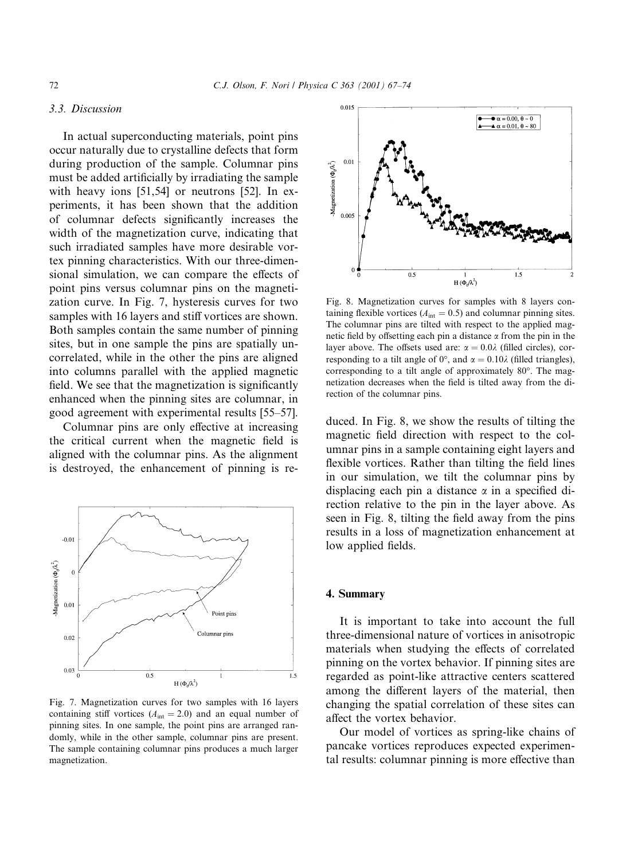# 3.3. Discussion

In actual superconducting materials, point pins occur naturally due to crystalline defects that form during production of the sample. Columnar pins must be added artificially by irradiating the sample with heavy ions [51,54] or neutrons [52]. In experiments, it has been shown that the addition of columnar defects significantly increases the width of the magnetization curve, indicating that such irradiated samples have more desirable vortex pinning characteristics. With our three-dimensional simulation, we can compare the effects of point pins versus columnar pins on the magnetization curve. In Fig. 7, hysteresis curves for two samples with 16 layers and stiff vortices are shown. Both samples contain the same number of pinning sites, but in one sample the pins are spatially uncorrelated, while in the other the pins are aligned into columns parallel with the applied magnetic field. We see that the magnetization is significantly enhanced when the pinning sites are columnar, in good agreement with experimental results [55–57].

Columnar pins are only effective at increasing the critical current when the magnetic field is aligned with the columnar pins. As the alignment is destroyed, the enhancement of pinning is re-



Fig. 7. Magnetization curves for two samples with 16 layers containing stiff vortices  $(A<sub>int</sub> = 2.0)$  and an equal number of pinning sites. In one sample, the point pins are arranged randomly, while in the other sample, columnar pins are present. The sample containing columnar pins produces a much larger magnetization.



Fig. 8. Magnetization curves for samples with 8 layers containing flexible vortices ( $A<sub>int</sub> = 0.5$ ) and columnar pinning sites. The columnar pins are tilted with respect to the applied magnetic field by offsetting each pin a distance  $\alpha$  from the pin in the layer above. The offsets used are:  $\alpha = 0.0\lambda$  (filled circles), corresponding to a tilt angle of 0°, and  $\alpha = 0.10\lambda$  (filled triangles), corresponding to a tilt angle of approximately 80°. The magnetization decreases when the field is tilted away from the direction of the columnar pins.

duced. In Fig. 8, we show the results of tilting the magnetic field direction with respect to the columnar pins in a sample containing eight layers and flexible vortices. Rather than tilting the field lines in our simulation, we tilt the columnar pins by displacing each pin a distance  $\alpha$  in a specified direction relative to the pin in the layer above. As seen in Fig. 8, tilting the field away from the pins results in a loss of magnetization enhancement at low applied fields.

## 4. Summary

It is important to take into account the full three-dimensional nature of vortices in anisotropic materials when studying the effects of correlated pinning on the vortex behavior. If pinning sites are regarded as point-like attractive centers scattered among the different layers of the material, then changing the spatial correlation of these sites can affect the vortex behavior.

Our model of vortices as spring-like chains of pancake vortices reproduces expected experimental results: columnar pinning is more effective than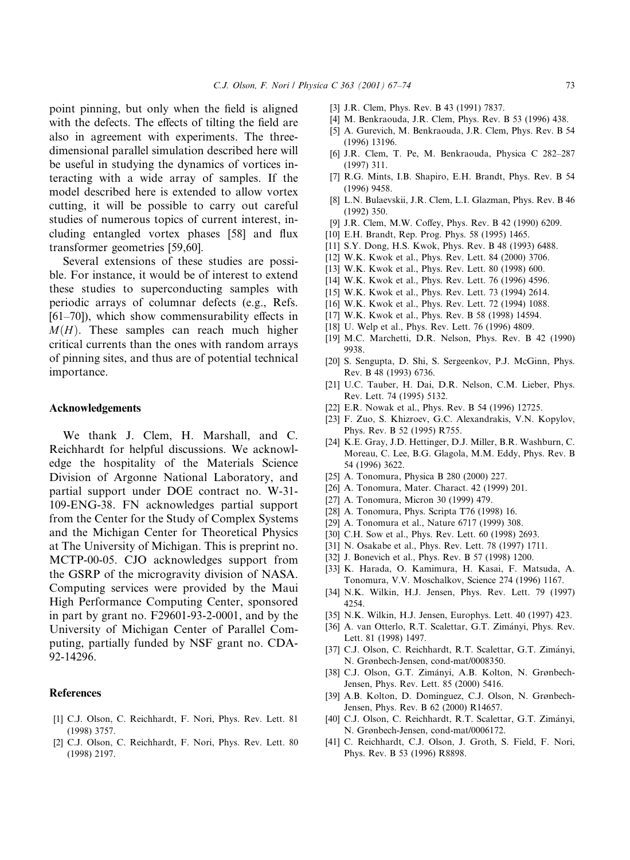point pinning, but only when the field is aligned with the defects. The effects of tilting the field are also in agreement with experiments. The threedimensional parallel simulation described here will be useful in studying the dynamics of vortices interacting with a wide array of samples. If the model described here is extended to allow vortex cutting, it will be possible to carry out careful studies of numerous topics of current interest, including entangled vortex phases [58] and flux transformer geometries [59,60].

Several extensions of these studies are possible. For instance, it would be of interest to extend these studies to superconducting samples with periodic arrays of columnar defects (e.g., Refs.  $[61-70]$ , which show commensurability effects in  $M(H)$ . These samples can reach much higher critical currents than the ones with random arrays of pinning sites, and thus are of potential technical importance.

#### **Acknowledgements**

We thank J. Clem, H. Marshall, and C. Reichhardt for helpful discussions. We acknowledge the hospitality of the Materials Science Division of Argonne National Laboratory, and partial support under DOE contract no. W-31-109-ENG-38. FN acknowledges partial support from the Center for the Study of Complex Systems and the Michigan Center for Theoretical Physics at The University of Michigan. This is preprint no. MCTP-00-05. CJO acknowledges support from the GSRP of the microgravity division of NASA. Computing services were provided by the Maui High Performance Computing Center, sponsored in part by grant no. F29601-93-2-0001, and by the University of Michigan Center of Parallel Computing, partially funded by NSF grant no. CDA-92-14296.

#### **References**

- [1] C.J. Olson, C. Reichhardt, F. Nori, Phys. Rev. Lett. 81  $(1998)$  3757.
- [2] C.J. Olson, C. Reichhardt, F. Nori, Phys. Rev. Lett. 80  $(1998)$  2197.
- [3] J.R. Clem, Phys. Rev. B 43 (1991) 7837.
- [4] M. Benkraouda, J.R. Clem, Phys. Rev. B 53 (1996) 438.
- [5] A. Gurevich, M. Benkraouda, J.R. Clem, Phys. Rev. B 54 (1996) 13196.
- [6] J.R. Clem, T. Pe, M. Benkraouda, Physica C 282-287  $(1997)$  311.
- [7] R.G. Mints, I.B. Shapiro, E.H. Brandt, Phys. Rev. B 54  $(1996)$  9458.
- [8] L.N. Bulaevskii, J.R. Clem, L.I. Glazman, Phys. Rev. B 46  $(1992)$  350.
- [9] J.R. Clem, M.W. Coffey, Phys. Rev. B 42 (1990) 6209.
- [10] E.H. Brandt, Rep. Prog. Phys. 58 (1995) 1465.
- [11] S.Y. Dong, H.S. Kwok, Phys. Rev. B 48 (1993) 6488.
- [12] W.K. Kwok et al., Phys. Rev. Lett. 84 (2000) 3706.
- [13] W.K. Kwok et al., Phys. Rev. Lett. 80 (1998) 600.
- [14] W.K. Kwok et al., Phys. Rev. Lett. 76 (1996) 4596.
- [15] W.K. Kwok et al., Phys. Rev. Lett. 73 (1994) 2614.
- [16] W.K. Kwok et al., Phys. Rev. Lett. 72 (1994) 1088.
- [17] W.K. Kwok et al., Phys. Rev. B 58 (1998) 14594.
- [18] U. Welp et al., Phys. Rev. Lett. 76 (1996) 4809.
- [19] M.C. Marchetti, D.R. Nelson, Phys. Rev. B 42 (1990) 9938.
- [20] S. Sengupta, D. Shi, S. Sergeenkov, P.J. McGinn, Phys. Rev. B 48 (1993) 6736.
- [21] U.C. Tauber, H. Dai, D.R. Nelson, C.M. Lieber, Phys. Rev. Lett. 74 (1995) 5132.
- [22] E.R. Nowak et al., Phys. Rev. B 54 (1996) 12725.
- [23] F. Zuo, S. Khizroev, G.C. Alexandrakis, V.N. Kopylov, Phys. Rev. B 52 (1995) R755.
- [24] K.E. Gray, J.D. Hettinger, D.J. Miller, B.R. Washburn, C. Moreau, C. Lee, B.G. Glagola, M.M. Eddy, Phys. Rev. B 54 (1996) 3622.
- [25] A. Tonomura, Physica B 280 (2000) 227.
- [26] A. Tonomura, Mater. Charact. 42 (1999) 201.
- [27] A. Tonomura, Micron 30 (1999) 479.
- [28] A. Tonomura, Phys. Scripta T76 (1998) 16.
- [29] A. Tonomura et al., Nature 6717 (1999) 308.
- [30] C.H. Sow et al., Phys. Rev. Lett. 60 (1998) 2693.
- [31] N. Osakabe et al., Phys. Rev. Lett. 78 (1997) 1711.
- [32] J. Bonevich et al., Phys. Rev. B 57 (1998) 1200.
- [33] K. Harada, O. Kamimura, H. Kasai, F. Matsuda, A. Tonomura, V.V. Moschalkov, Science 274 (1996) 1167.
- [34] N.K. Wilkin, H.J. Jensen, Phys. Rev. Lett. 79 (1997) 4254.
- [35] N.K. Wilkin, H.J. Jensen, Europhys. Lett. 40 (1997) 423.
- [36] A. van Otterlo, R.T. Scalettar, G.T. Zimányi, Phys. Rev. Lett. 81 (1998) 1497.
- [37] C.J. Olson, C. Reichhardt, R.T. Scalettar, G.T. Zimányi, N. Grønbech-Jensen, cond-mat/0008350.
- [38] C.J. Olson, G.T. Zimányi, A.B. Kolton, N. Grønbech-Jensen, Phys. Rev. Lett. 85 (2000) 5416.
- [39] A.B. Kolton, D. Dominguez, C.J. Olson, N. Grønbech-Jensen, Phys. Rev. B 62 (2000) R14657.
- [40] C.J. Olson, C. Reichhardt, R.T. Scalettar, G.T. Zimányi, N. Grønbech-Jensen, cond-mat/0006172.
- [41] C. Reichhardt, C.J. Olson, J. Groth, S. Field, F. Nori, Phys. Rev. B 53 (1996) R8898.